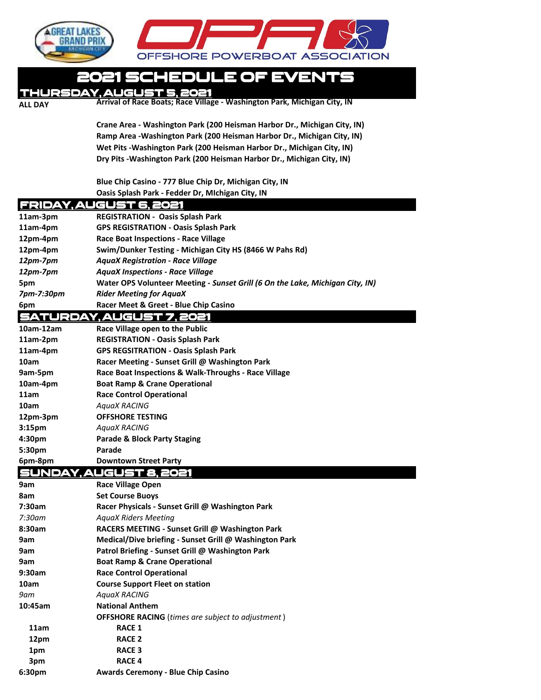

## 2021 SCHEDULE OF EVENTS

Thursday, August 5, 2021

**ALL DAY Arrival of Race Boats; Race Village - Washington Park, Michigan City, IN** 

**Crane Area ‐ Washington Park (200 Heisman Harbor Dr., Michigan City, IN) Ramp Area ‐Washington Park (200 Heisman Harbor Dr., Michigan City, IN) Wet Pits ‐Washington Park (200 Heisman Harbor Dr., Michigan City, IN) Dry Pits ‐Washington Park (200 Heisman Harbor Dr., Michigan City, IN)** 

**Blue Chip Casino ‐ 777 Blue Chip Dr, Michigan City, IN Oasis Splash Park - Fedder Dr, MIchigan City, IN**

| FRIDAY, AU<br>ŒL         |                                                                               |  |  |
|--------------------------|-------------------------------------------------------------------------------|--|--|
| 11am-3pm                 | <b>REGISTRATION - Oasis Splash Park</b>                                       |  |  |
| 11am-4pm                 | <b>GPS REGISTRATION - Oasis Splash Park</b>                                   |  |  |
| 12pm-4pm                 | <b>Race Boat Inspections - Race Village</b>                                   |  |  |
| 12pm-4pm                 | Swim/Dunker Testing - Michigan City HS (8466 W Pahs Rd)                       |  |  |
| 12pm-7pm                 | <b>AquaX Registration - Race Village</b>                                      |  |  |
| 12pm-7pm                 | <b>AquaX Inspections - Race Village</b>                                       |  |  |
| 5pm                      | Water OPS Volunteer Meeting - Sunset Grill (6 On the Lake, Michigan City, IN) |  |  |
| 7pm-7:30pm               | <b>Rider Meeting for AquaX</b>                                                |  |  |
| 6pm                      | Racer Meet & Greet - Blue Chip Casino                                         |  |  |
| <b>SATURD</b><br>Y.AUGU! |                                                                               |  |  |
| 10am-12am                | Race Village open to the Public                                               |  |  |
| 11am-2pm                 | <b>REGISTRATION - Oasis Splash Park</b>                                       |  |  |
| 11am-4pm                 | <b>GPS REGSITRATION - Oasis Splash Park</b>                                   |  |  |
| 10am                     | Racer Meeting - Sunset Grill @ Washington Park                                |  |  |
| 9am-5pm                  | Race Boat Inspections & Walk-Throughs - Race Village                          |  |  |
| 10am-4pm                 | <b>Boat Ramp &amp; Crane Operational</b>                                      |  |  |
| 11am                     | <b>Race Control Operational</b>                                               |  |  |
| 10am                     | <b>AquaX RACING</b>                                                           |  |  |
| 12pm-3pm                 | <b>OFFSHORE TESTING</b>                                                       |  |  |
| 3:15 <sub>pm</sub>       | <b>AquaX RACING</b>                                                           |  |  |
| 4:30pm                   | <b>Parade &amp; Block Party Staging</b>                                       |  |  |
| 5:30pm                   | Parade                                                                        |  |  |
| 6pm-8pm                  | <b>Downtown Street Party</b>                                                  |  |  |
|                          | UGUS<br>부                                                                     |  |  |
| 9am                      | <b>Race Village Open</b>                                                      |  |  |
| 8am                      | <b>Set Course Buoys</b>                                                       |  |  |
| 7:30am                   | Racer Physicals - Sunset Grill @ Washington Park                              |  |  |
| 7:30am                   | <b>AquaX Riders Meeting</b>                                                   |  |  |
| 8:30am                   | RACERS MEETING - Sunset Grill @ Washington Park                               |  |  |
| 9am                      | Medical/Dive briefing - Sunset Grill @ Washington Park                        |  |  |
| 9am                      | Patrol Briefing - Sunset Grill @ Washington Park                              |  |  |
| 9am                      | <b>Boat Ramp &amp; Crane Operational</b>                                      |  |  |
| 9:30am                   | <b>Race Control Operational</b>                                               |  |  |
| 10am                     | <b>Course Support Fleet on station</b>                                        |  |  |
| $9$ am                   | <b>AquaX RACING</b>                                                           |  |  |
| 10:45am                  | <b>National Anthem</b>                                                        |  |  |
|                          | <b>OFFSHORE RACING</b> (times are subject to adjustment)                      |  |  |
| 11am                     | <b>RACE 1</b>                                                                 |  |  |
| 12pm                     | <b>RACE 2</b>                                                                 |  |  |
| 1pm                      | <b>RACE 3</b>                                                                 |  |  |
| 3pm                      | <b>RACE 4</b>                                                                 |  |  |
| 6:30pm                   | <b>Awards Ceremony - Blue Chip Casino</b>                                     |  |  |